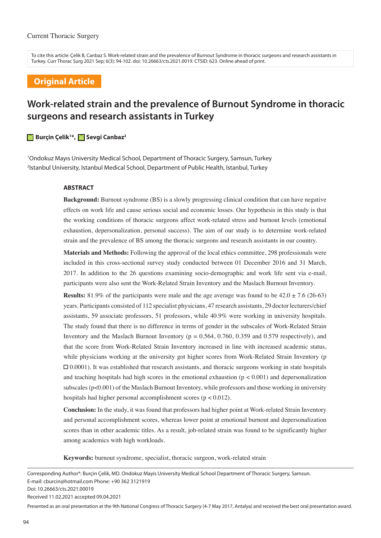To cite this article: Çelik B, Canbaz S. Work-related strain and the prevalence of Burnout Syndrome in thoracic surgeons and research assistants in Turkey. Curr Thorac Surg 2021 Sep; 6(3): 94-102. doi: 10.26663/cts.2021.0019. CTSID: 623. Online ahead of print.

## **Original Article**

# **Work-related strain and the prevalence of Burnout Syndrome in thoracic surgeons and research assistants in Turkey**

#### **Burçin Çelik1 \*, Sevgi Canbaz2**

1 Ondokuz Mayıs University Medical School, Department of Thoracic Surgery, Samsun, Turkey 2 Istanbul University, Istanbul Medical School, Department of Public Health, Istanbul, Turkey

#### **ABSTRACT**

**Background:** Burnout syndrome (BS) is a slowly progressing clinical condition that can have negative effects on work life and cause serious social and economic losses. Our hypothesis in this study is that the working conditions of thoracic surgeons affect work-related stress and burnout levels (emotional exhaustion, depersonalization, personal success). The aim of our study is to determine work-related strain and the prevalence of BS among the thoracic surgeons and research assistants in our country.

**Materials and Methods:** Following the approval of the local ethics committee, 298 professionals were included in this cross-sectional survey study conducted between 01 December 2016 and 31 March, 2017. In addition to the 26 questions examining socio-demographic and work life sent via e-mail, participants were also sent the Work-Related Strain Inventory and the Maslach Burnout Inventory.

**Results:** 81.9% of the participants were male and the age average was found to be  $42.0 \pm 7.6$  (26-63) years. Participants consisted of 112 specialist physicians, 47 research assistants, 29 doctor lecturers/chief assistants, 59 associate professors, 51 professors, while 40.9% were working in university hospitals. The study found that there is no difference in terms of gender in the subscales of Work-Related Strain Inventory and the Maslach Burnout Inventory ( $p = 0.564, 0.760, 0.359$  and 0.579 respectively), and that the score from Work-Related Strain Inventory increased in line with increased academic status, while physicians working at the university got higher scores from Work-Related Strain Inventory (p  $\Box$  0.0001). It was established that research assistants, and thoracic surgeons working in state hospitals and teaching hospitals had high scores in the emotional exhaustion  $(p < 0.001)$  and depersonalization subscales ( $p<0.001$ ) of the Maslach Burnout Inventory, while professors and those working in university hospitals had higher personal accomplishment scores (p < 0.012).

**Conclusion:** In the study, it was found that professors had higher point at Work-related Strain Inventory and personal accomplishment scores, whereas lower point at emotional burnout and depersonalization scores than in other academic titles. As a result, job-related strain was found to be significantly higher among academics with high workloads.

**Keywords:** burnout syndrome, specialist, thoracic surgeon, work-related strain

Received 11.02.2021 accepted 09.04.2021

Presented as an oral presentation at the 9th National Congress of Thoracic Surgery (4-7 May 2017, Antalya) and received the best oral presentation award.

Corresponding Author\*: Burçin Çelik, MD. Ondokuz Mayis University Medical School Department of Thoracic Surgery, Samsun. E-mail: cburcin@hotmail.com Phone: +90 362 3121919 Doi: 10.26663/cts.2021.00019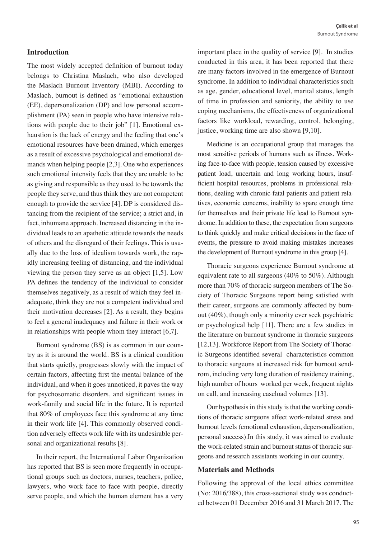## **Introduction**

The most widely accepted definition of burnout today belongs to Christina Maslach, who also developed the Maslach Burnout Inventory (MBI). According to Maslach, burnout is defined as "emotional exhaustion (EE), depersonalization (DP) and low personal accomplishment (PA) seen in people who have intensive relations with people due to their job" [1]. Emotional exhaustion is the lack of energy and the feeling that one's emotional resources have been drained, which emerges as a result of excessive psychological and emotional demands when helping people [2,3]. One who experiences such emotional intensity feels that they are unable to be as giving and responsible as they used to be towards the people they serve, and thus think they are not competent enough to provide the service [4]. DP is considered distancing from the recipient of the service; a strict and, in fact, inhumane approach. Increased distancing in the individual leads to an apathetic attitude towards the needs of others and the disregard of their feelings. This is usually due to the loss of idealism towards work, the rapidly increasing feeling of distancing, and the individual viewing the person they serve as an object [1,5]. Low PA defines the tendency of the individual to consider themselves negatively, as a result of which they feel inadequate, think they are not a competent individual and their motivation decreases [2]. As a result, they begins to feel a general inadequacy and failure in their work or in relationships with people whom they interact [6,7].

Burnout syndrome (BS) is as common in our country as it is around the world. BS is a clinical condition that starts quietly, progresses slowly with the impact of certain factors, affecting first the mental balance of the individual, and when it goes unnoticed, it paves the way for psychosomatic disorders, and significant issues in work-family and social life in the future. It is reported that 80% of employees face this syndrome at any time in their work life [4]. This commonly observed condition adversely effects work life with its undesirable personal and organizational results [8].

In their report, the International Labor Organization has reported that BS is seen more frequently in occupational groups such as doctors, nurses, teachers, police, lawyers, who work face to face with people, directly serve people, and which the human element has a very

important place in the quality of service [9]. In studies conducted in this area, it has been reported that there are many factors involved in the emergence of Burnout syndrome. In addition to individual characteristics such as age, gender, educational level, marital status, length of time in profession and seniority, the ability to use coping mechanisms, the effectiveness of organizational factors like workload, rewarding, control, belonging, justice, working time are also shown [9,10].

Medicine is an occupational group that manages the most sensitive periods of humans such as illness. Working face-to-face with people, tension caused by excessive patient load, uncertain and long working hours, insufficient hospital resources, problems in professional relations, dealing with chronic-fatal patients and patient relatives, economic concerns, inability to spare enough time for themselves and their private life lead to Burnout syndrome. In addition to these, the expectation from surgeons to think quickly and make critical decisions in the face of events, the pressure to avoid making mistakes increases the development of Burnout syndrome in this group [4].

Thoracic surgeons experience Burnout syndrome at equivalent rate to all surgeons (40% to 50%). Although more than 70% of thoracic surgeon members of The Society of Thoracic Surgeons report being satisfied with their career, surgeons are commonly affected by burnout (40%), though only a minority ever seek psychiatric or psychological help [11]. There are a few studies in the literature on burnout syndrome in thoracic surgeons [12,13]. Workforce Report from The Society of Thoracic Surgeons identified several characteristics common to thoracic surgeons at increased risk for burnout sendrom, including very long duration of residency training, high number of hours worked per week, frequent nights on call, and increasing caseload volumes [13].

Our hypothesis in this study is that the working conditions of thoracic surgeons affect work-related stress and burnout levels (emotional exhaustion, depersonalization, personal success).In this study, it was aimed to evaluate the work-related strain and burnout status of thoracic surgeons and research assistants working in our country.

#### **Materials and Methods**

Following the approval of the local ethics committee (No: 2016/388), this cross-sectional study was conducted between 01 December 2016 and 31 March 2017. The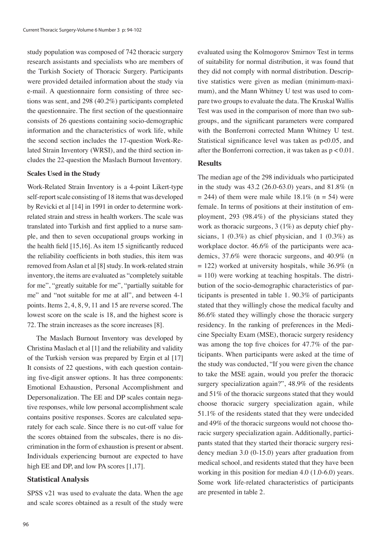study population was composed of 742 thoracic surgery research assistants and specialists who are members of the Turkish Society of Thoracic Surgery. Participants were provided detailed information about the study via e-mail. A questionnaire form consisting of three sections was sent, and 298 (40.2%) participants completed the questionnaire. The first section of the questionnaire consists of 26 questions containing socio-demographic information and the characteristics of work life, while the second section includes the 17-question Work-Related Strain Inventory (WRSI), and the third section includes the 22-question the Maslach Burnout Inventory.

#### **Scales Used in the Study**

Work-Related Strain Inventory is a 4-point Likert-type self-report scale consisting of 18 items that was developed by Revicki et al [14] in 1991 in order to determine workrelated strain and stress in health workers. The scale was translated into Turkish and first applied to a nurse sample, and then to seven occupational groups working in the health field [15,16]. As item 15 significantly reduced the reliability coefficients in both studies, this item was removed from Aslan et al [8] study. In work-related strain inventory, the items are evaluated as "completely suitable for me", "greatly suitable for me", "partially suitable for me" and "not suitable for me at all", and between 4-1 points. Items 2, 4, 8, 9, 11 and 15 are reverse scored. The lowest score on the scale is 18, and the highest score is 72. The strain increases as the score increases [8].

The Maslach Burnout Inventory was developed by Christina Maslach et al [1] and the reliability and validity of the Turkish version was prepared by Ergin et al [17] It consists of 22 questions, with each question containing five-digit answer options. It has three components: Emotional Exhaustion, Personal Accomplishment and Depersonalization. The EE and DP scales contain negative responses, while low personal accomplishment scale contains positive responses. Scores are calculated separately for each scale. Since there is no cut-off value for the scores obtained from the subscales, there is no discrimination in the form of exhaustion is present or absent. Individuals experiencing burnout are expected to have high EE and DP, and low PA scores [1,17].

#### **Statistical Analysis**

SPSS v21 was used to evaluate the data. When the age and scale scores obtained as a result of the study were

evaluated using the Kolmogorov Smirnov Test in terms of suitability for normal distribution, it was found that they did not comply with normal distribution. Descriptive statistics were given as median (minimum-maximum), and the Mann Whitney U test was used to compare two groups to evaluate the data. The Kruskal Wallis Test was used in the comparison of more than two subgroups, and the significant parameters were compared with the Bonferroni corrected Mann Whitney U test. Statistical significance level was taken as p<0.05, and after the Bonferroni correction, it was taken as  $p < 0.01$ .

#### **Results**

The median age of the 298 individuals who participated in the study was 43.2 (26.0-63.0) years, and 81.8% (n  $= 244$ ) of them were male while 18.1% (n = 54) were female. In terms of positions at their institution of employment, 293 (98.4%) of the physicians stated they work as thoracic surgeons, 3 (1%) as deputy chief physicians,  $1(0.3\%)$  as chief physician, and  $1(0.3\%)$  as workplace doctor. 46.6% of the participants were academics, 37.6% were thoracic surgeons, and 40.9% (n  $= 122$ ) worked at university hospitals, while 36.9% (n  $= 110$ ) were working at teaching hospitals. The distribution of the socio-demographic characteristics of participants is presented in table 1. 90.3% of participants stated that they willingly chose the medical faculty and 86.6% stated they willingly chose the thoracic surgery residency. In the ranking of preferences in the Medicine Specialty Exam (MSE), thoracic surgery residency was among the top five choices for 47.7% of the participants. When participants were asked at the time of the study was conducted, "If you were given the chance to take the MSE again, would you prefer the thoracic surgery specialization again?", 48.9% of the residents and 51% of the thoracic surgeons stated that they would choose thoracic surgery specialization again, while 51.1% of the residents stated that they were undecided and 49% of the thoracic surgeons would not choose thoracic surgery specialization again. Additionally, participants stated that they started their thoracic surgery residency median 3.0 (0-15.0) years after graduation from medical school, and residents stated that they have been working in this position for median 4.0 (1.0-6.0) years. Some work life-related characteristics of participants are presented in table 2.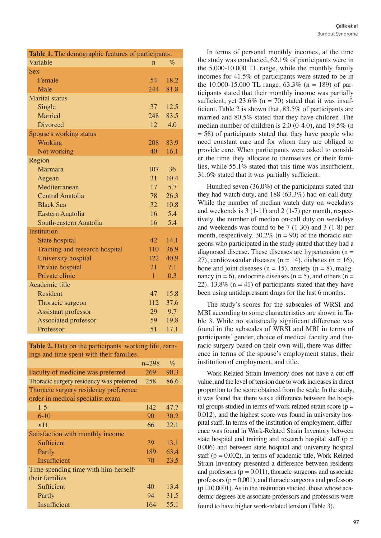| Table 1. The demographic features of participants. |                 |      |  |  |
|----------------------------------------------------|-----------------|------|--|--|
| Variable                                           | $\mathbf n$     | $\%$ |  |  |
| <b>Sex</b>                                         |                 |      |  |  |
| Female                                             | 54              | 18.2 |  |  |
| Male                                               | 244             | 81.8 |  |  |
| <b>Marital</b> status                              |                 |      |  |  |
| Single                                             | 37              | 12.5 |  |  |
| Married                                            | 248             | 83.5 |  |  |
| Divorced                                           | 12              | 4.0  |  |  |
| Spouse's working status                            |                 |      |  |  |
| Working                                            | 208             | 83.9 |  |  |
| Not working                                        | 40              | 16.1 |  |  |
| Region                                             |                 |      |  |  |
| Marmara                                            | 107             | 36   |  |  |
| Aegean                                             | 31              | 10.4 |  |  |
| Mediterranean                                      | 17              | 5.7  |  |  |
| <b>Central Anatolia</b>                            | 78              | 26.3 |  |  |
| <b>Black Sea</b>                                   | 32 <sup>7</sup> | 10.8 |  |  |
| Eastern Anatolia                                   | 16              | 5.4  |  |  |
| South-eastern Anatolia                             | 16              | 5.4  |  |  |
| <b>Institution</b>                                 |                 |      |  |  |
| State hospital                                     | 42              | 14.1 |  |  |
| Training and research hospital                     | 110             | 36.9 |  |  |
| University hospital                                | 122             | 40.9 |  |  |
| Private hospital                                   | 21              | 7.1  |  |  |
| Private clinic                                     | $\mathbf{1}$    | 0.3  |  |  |
| Academic title                                     |                 |      |  |  |
| Resident                                           | 47              | 15.8 |  |  |
| Thoracic surgeon                                   | 112             | 37.6 |  |  |
| <b>Assistant professor</b>                         | 29              | 9.7  |  |  |
| <b>Associated professor</b>                        | 59              | 19.8 |  |  |
| Professor                                          | 51              | 17.1 |  |  |

**Table 2.** Data on the participants' working life, earnings and time spent with their families.

|                                          | $n=298$ | $\%$ |
|------------------------------------------|---------|------|
| Faculty of medicine was preferred        | 269     | 90.3 |
| Thoracic surgery residency was preferred | 258     | 86.6 |
| Thoracic surgery residency preference    |         |      |
| order in medical specialist exam         |         |      |
| $1 - 5$                                  | 142     | 47.7 |
| $6 - 10$                                 | 90      | 30.2 |
| $\geq$ 11                                | 66      | 22.1 |
| Satisfaction with monthly income         |         |      |
| Sufficient                               | 39      | 13.1 |
| Partly                                   | 189     | 63.4 |
| Insufficient                             | 70      | 23.5 |
| Time spending time with him-herself/     |         |      |
| their families                           |         |      |
| Sufficient                               | 40      | 13.4 |
| Partly                                   | 94      | 31.5 |
| Insufficient                             | 164     | 55.1 |

In terms of personal monthly incomes, at the time the study was conducted, 62.1% of participants were in the 5.000-10.000 TL range, while the monthly family incomes for 41.5% of participants were stated to be in the 10.000-15.000 TL range.  $63.3\%$  (n = 189) of participants stated that their monthly income was partially sufficient, yet  $23.6\%$  (n = 70) stated that it was insufficient. Table 2 is shown that, 83.5% of participants are married and 80.5% stated that they have children. The median number of children is 2.0 (0-4.0), and 19.5% (n  $= 58$ ) of participants stated that they have people who need constant care and for whom they are obliged to provide care. When participants were asked to consider the time they allocate to themselves or their families, while 55.1% stated that this time was insufficient, 31.6% stated that it was partially sufficient.

Hundred seven (36.0%) of the participants stated that they had watch duty, and 188 (63.3%) had on-call duty. While the number of median watch duty on weekdays and weekends is  $3(1-11)$  and  $2(1-7)$  per month, respectively, the number of median on-call duty on weekdays and weekends was found to be 7 (1-30) and 3 (1-8) per month, respectively.  $30.2\%$  (n = 90) of the thoracic surgeons who participated in the study stated that they had a diagnosed disease. These diseases are hypertension  $(n =$ 27), cardiovascular diseases ( $n = 14$ ), diabetes ( $n = 16$ ), bone and joint diseases ( $n = 15$ ), anxiety ( $n = 8$ ), malignancy ( $n = 6$ ), endocrine diseases ( $n = 5$ ), and others ( $n = 1$ ) 22). 13.8% ( $n = 41$ ) of participants stated that they have been using antidepressant drugs for the last 6 months.

The study's scores for the subscales of WRSI and MBI according to some characteristics are shown in Table 3. While no statistically significant difference was found in the subscales of WRSI and MBI in terms of participants' gender, choice of medical faculty and thoracic surgery based on their own will, there was difference in terms of the spouse's employment status, their institution of employment, and title.

Work-Related Strain Inventory does not have a cut-off value, and the level of tension due to work increases in direct proportion to the score obtained from the scale. In the study, it was found that there was a difference between the hospital groups studied in terms of work-related strain score ( $p =$ 0.012), and the highest score was found in university hospital staff. In terms of the institution of employment, difference was found in Work-Related Strain Inventory between state hospital and training and research hospital staff ( $p =$ 0.006) and between state hospital and university hospital staff ( $p = 0.002$ ). In terms of academic title, Work-Related Strain Inventory presented a difference between residents and professors  $(p = 0.011)$ , thoracic surgeons and associate professors  $(p = 0.001)$ , and thoracic surgeons and professors  $(p \Box 0.0001)$ . As in the institution studied, those whose academic degrees are associate professors and professors were found to have higher work-related tension (Table 3).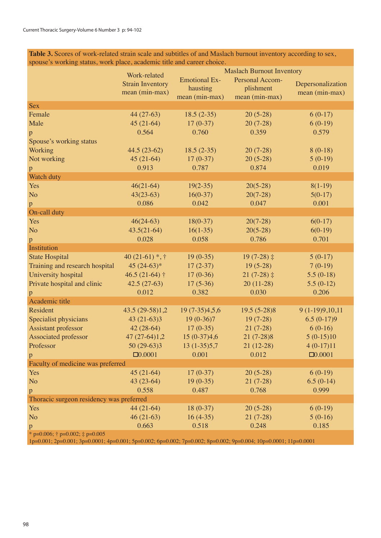**Table 3.** Scores of work-related strain scale and subtitles of and Maslach burnout inventory according to sex, spouse's working status, work place, academic title and career choice.

|                                                 |                                         | <b>Maslach Burnout Inventory</b>        |                |                   |  |  |  |
|-------------------------------------------------|-----------------------------------------|-----------------------------------------|----------------|-------------------|--|--|--|
|                                                 | Work-related<br><b>Strain Inventory</b> | Personal Accom-<br><b>Emotional Ex-</b> |                | Depersonalization |  |  |  |
|                                                 | mean (min-max)                          | hausting                                | plishment      | mean (min-max)    |  |  |  |
|                                                 |                                         | mean (min-max)                          | mean (min-max) |                   |  |  |  |
| <b>Sex</b>                                      |                                         |                                         |                |                   |  |  |  |
| Female                                          | 44 (27-63)                              | $18.5(2-35)$                            | $20(5-28)$     | $6(0-17)$         |  |  |  |
| Male                                            | $45(21-64)$                             | $17(0-37)$                              | $20(7-28)$     | $6(0-19)$         |  |  |  |
| p                                               | 0.564                                   | 0.760                                   | 0.359          | 0.579             |  |  |  |
| Spouse's working status                         |                                         |                                         |                |                   |  |  |  |
| Working                                         | $44.5(23-62)$                           | $18.5(2-35)$                            | $20(7-28)$     | $8(0-18)$         |  |  |  |
| Not working                                     | $45(21-64)$                             | $17(0-37)$                              | $20(5-28)$     | $5(0-19)$         |  |  |  |
| p                                               | 0.913                                   | 0.787                                   | 0.874          | 0.019             |  |  |  |
| Watch duty                                      |                                         |                                         |                |                   |  |  |  |
| Yes                                             | $46(21-64)$                             | $19(2-35)$                              | $20(5-28)$     | $8(1-19)$         |  |  |  |
| N <sub>o</sub>                                  | $43(23-63)$                             | $16(0-37)$                              | $20(7-28)$     | $5(0-17)$         |  |  |  |
| p                                               | 0.086                                   | 0.042                                   | 0.047          | 0.001             |  |  |  |
| On-call duty                                    |                                         |                                         |                |                   |  |  |  |
| Yes                                             | $46(24-63)$                             | $18(0-37)$                              | $20(7-28)$     | $6(0-17)$         |  |  |  |
| N <sub>o</sub>                                  | $43.5(21-64)$                           | $16(1-35)$                              | $20(5-28)$     | $6(0-19)$         |  |  |  |
| p                                               | 0.028                                   | 0.058                                   | 0.786          | 0.701             |  |  |  |
| Institution                                     |                                         |                                         |                |                   |  |  |  |
| <b>State Hospital</b>                           | 40 (21-61) $*$ , $\dagger$              | $19(0-35)$                              | $19(7-28)$ ‡   | $5(0-17)$         |  |  |  |
| Training and research hospital                  | 45 $(24-63)*$                           | $17(2-37)$                              | $19(5-28)$     | $7(0-19)$         |  |  |  |
| University hospital                             | $46.5(21-64)$ †                         | $17(0-36)$                              | $21(7-28)$ ‡   | $5.5(0-18)$       |  |  |  |
| Private hospital and clinic                     | $42.5(27-63)$                           | $17(5-36)$                              | $20(11-28)$    | $5.5(0-12)$       |  |  |  |
| p                                               | 0.012                                   | 0.382                                   | 0.030          | 0.206             |  |  |  |
| Academic title                                  |                                         |                                         |                |                   |  |  |  |
| Resident                                        | 43.5 (29-58)1,2                         | 19 (7-35)4,5,6                          | 19.5 (5-28)8   | 9 (1-19)9,10,11   |  |  |  |
| Specialist physicians                           | $43(21-63)3$                            | $19(0-36)7$                             | $19(7-28)$     | $6.5(0-17)9$      |  |  |  |
| Assistant professor                             | $42(28-64)$                             | $17(0-35)$                              | $21(7-28)$     | $6(0-16)$         |  |  |  |
| Associated professor                            | 47 (27-64)1,2                           | 15 (0-37)4,6                            | $21(7-28)8$    | $5(0-15)10$       |  |  |  |
| Professor                                       | 50 (29-63)3                             | $13(1-35)5,7$                           | $21(12-28)$    | $4(0-17)11$       |  |  |  |
| p                                               | $\square$ 0.0001                        | 0.001                                   | 0.012          | $\square 0.0001$  |  |  |  |
| Faculty of medicine was preferred               |                                         |                                         |                |                   |  |  |  |
| Yes                                             | $45(21-64)$                             | $17(0-37)$                              | $20(5-28)$     | $6(0-19)$         |  |  |  |
| N <sub>o</sub>                                  | $43(23-64)$                             | $19(0-35)$                              | $21(7-28)$     | $6.5(0-14)$       |  |  |  |
| $\mathbf{p}$                                    | 0.558                                   | 0.487                                   | 0.768          | 0.999             |  |  |  |
| Thoracic surgeon residency was preferred        |                                         |                                         |                |                   |  |  |  |
| Yes                                             | $44(21-64)$                             | $18(0-37)$                              | $20(5-28)$     | $6(0-19)$         |  |  |  |
| N <sub>o</sub>                                  | $46(21-63)$                             | $16(4-35)$                              | $21(7-28)$     | $5(0-16)$         |  |  |  |
| $\mathbf{p}$                                    | 0.663                                   | 0.518                                   | 0.248          | 0.185             |  |  |  |
| * p=0.006; $\dagger$ p=0.002; $\dagger$ p=0.005 |                                         |                                         |                |                   |  |  |  |

1p=0.001; 2p=0.001; 3p=0.0001; 4p=0.001; 5p=0.002; 6p=0.002; 7p=0.002; 8p=0.002; 9p=0.004; 10p=0.0001; 11p=0.0001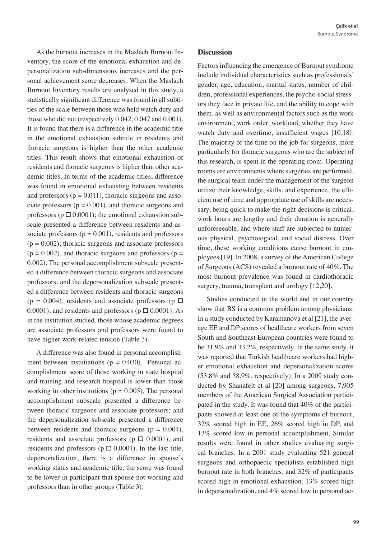As the burnout increases in the Maslach Burnout Inventory, the score of the emotional exhaustion and depersonalization sub-dimensions increases and the personal achievement score decreases. When the Maslach Burnout Inventory results are analysed in this study, a statistically significant difference was found in all subtitles of the scale between those who held watch duty and those who did not (respectively 0.042, 0.047 and 0.001). It is found that there is a difference in the academic title in the emotional exhaustion subtitle in residents and thoracic surgeons is higher than the other academic titles. This result shows that emotional exhaustion of residents and thoracic surgeons is higher than other academic titles. In terms of the academic titles, difference was found in emotional exhausting between residents and professors  $(p = 0.011)$ , thoracic surgeons and associate professors ( $p = 0.001$ ), and thoracic surgeons and professors ( $p \Box 0.0001$ ); the emotional exhaustion subscale presented a difference between residents and associate professors ( $p = 0.001$ ), residents and professors  $(p = 0.002)$ , thoracic surgeons and associate professors  $(p = 0.002)$ , and thoracic surgeons and professors  $(p = 0.002)$ 0.002). The personal accomplishment subscale presented a difference between thoracic surgeons and associate professors; and the depersonalization subscale presented a difference between residents and thoracic surgeons  $(p = 0.004)$ , residents and associate professors  $(p \Box$ 0.0001), and residents and professors ( $p \Box 0.0001$ ). As in the institution studied, those whose academic degrees are associate professors and professors were found to have higher work-related tension (Table 3).

A difference was also found in personal accomplishment between instutiations ( $p = 0.030$ ). Personal accomplishment score of those working in state hospital and training and research hospital is lower than those working in other institutions ( $p = 0.005$ ). The personal accomplishment subscale presented a difference between thoracic surgeons and associate professors; and the depersonalization subscale presented a difference between residents and thoracic surgeons ( $p = 0.004$ ), residents and associate professors ( $p \Box 0.0001$ ), and residents and professors (p  $\Box$  0.0001). In the last title, depersonalization, there is a difference in spouse's working status and academic title, the score was found to be lower in participant that spouse not working and professors than in other groups (Table 3).

#### **Discussion**

Factors influencing the emergence of Burnout syndrome include individual characteristics such as professionals' gender, age, education, marital status, number of children, professional experiences, the psycho-social stressors they face in private life, and the ability to cope with them, as well as environmental factors such as the work environment, work order, workload, whether they have watch duty and overtime, insufficient wages [10,18]. The majority of the time on the job for surgeons, more particularly for thoracic surgeons who are the subject of this research, is spent in the operating room. Operating rooms are environments where surgeries are performed, the surgical team under the management of the surgeon utilize their knowledge, skills, and experience, the efficient use of time and appropriate use of skills are necessary, being quick to make the right decisions is critical, work hours are lengthy and their duration is generally unforeseeable, and where staff are subjected to numerous physical, psychological, and social distress. Over time, these working conditions cause burnout in employees [19]. In 2008, a survey of the American College of Surgeons (ACS) revealed a burnout rate of 40%. The most burnout prevalence was found in cardiothoracic surgery, trauma, transplant and urology [12,20].

Studies conducted in the world and in our country show that BS is a common problem among physicians. In a study conducted by Karamanova et al [21], the average EE and DP scores of healthcare workers from seven South and Southeast European countries were found to be 31.9% and 33.2%, respectively. In the same study, it was reported that Turkish healthcare workers had higher emotional exhaustion and depersonalization scores (53.8% and 58.9%, respectively). In a 2009 study conducted by Shanafelt et al [20] among surgeons, 7,905 members of the American Surgical Association participated in the study. It was found that 40% of the participants showed at least one of the symptoms of burnout, 32% scored high in EE, 26% scored high in DP, and 13% scored low in personal accomplishment. Similar results were found in other studies evaluating surgical branches. In a 2001 study evaluating 521 general surgeons and orthopaedic specialists established high burnout rate in both branches, and 32% of participants scored high in emotional exhaustion, 13% scored high in depersonalization, and 4% scored low in personal ac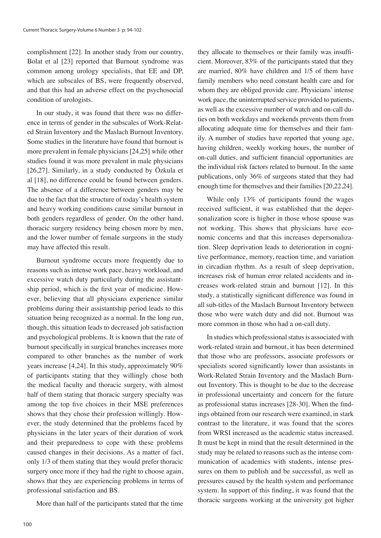complishment [22]. In another study from our country, Bolat et al [23] reported that Burnout syndrome was common among urology specialists, that EE and DP, which are subscales of BS, were frequently observed, and that this had an adverse effect on the psychosocial condition of urologists.

In our study, it was found that there was no difference in terms of gender in the subscales of Work-Related Strain Inventory and the Maslach Burnout Inventory. Some studies in the literature have found that burnout is more prevalent in female physicians [24,25] while other studies found it was more prevalent in male physicians [26,27]. Similarly, in a study conducted by Özkula et al [18], no difference could be found between genders. The absence of a difference between genders may be due to the fact that the structure of today's health system and heavy working conditions cause similar burnout in both genders regardless of gender. On the other hand, thoracic surgery residency being chosen more by men, and the lower number of female surgeons in the study may have affected this result.

Burnout syndrome occurs more frequently due to reasons such as intense work pace, heavy workload, and excessive watch duty particularly during the assistantship period, which is the first year of medicine. However, believing that all physicians experience similar problems during their assistantship period leads to this situation being recognized as a normal. In the long run, though, this situation leads to decreased job satisfaction and psychological problems. It is known that the rate of burnout specifically in surgical branches increases more compared to other branches as the number of work years increase [4,24]. In this study, approximately 90% of participants stating that they willingly chose both the medical faculty and thoracic surgery, with almost half of them stating that thoracic surgery specialty was among the top five choices in their MSE preferences shows that they chose their profession willingly. However, the study determined that the problems faced by physicians in the later years of their duration of work and their preparedness to cope with these problems caused changes in their decisions. As a matter of fact, only 1/3 of them stating that they would prefer thoracic surgery once more if they had the right to choose again, shows that they are experiencing problems in terms of professional satisfaction and BS.

More than half of the participants stated that the time

they allocate to themselves or their family was insufficient. Moreover, 83% of the participants stated that they are married, 80% have children and 1/5 of them have family members who need constant health care and for whom they are obliged provide care. Physicians' intense work pace, the uninterrupted service provided to patients, as well as the excessive number of watch and on-call duties on both weekdays and weekends prevents them from allocating adequate time for themselves and their family. A number of studies have reported that young age, having children, weekly working hours, the number of on-call duties, and sufficient financial opportunities are the individual risk factors related to burnout. In the same publications, only 36% of surgeons stated that they had enough time for themselves and their families [20,22,24].

While only 13% of participants found the wages received sufficient, it was established that the depersonalization score is higher in those whose spouse was not working. This shows that physicians have economic concerns and that this increases depersonalization. Sleep deprivation leads to deterioration in cognitive performance, memory, reaction time, and variation in circadian rhythm. As a result of sleep deprivation, increases risk of human error related accidents and increases work-related strain and burnout [12]. In this study, a statistically significant difference was found in all sub-titles of the Maslach Burnout Inventory between those who were watch duty and did not. Burnout was more common in those who had a on-call duty.

In studies which professional status is associated with work-related strain and burnout, it has been determined that those who are professors, associate professors or specialists scored significantly lower than assistants in Work-Related Strain Inventory and the Maslach Burnout Inventory. This is thought to be due to the decrease in professional uncertainty and concern for the future as professional status increases [28-30]. When the findings obtained from our research were examined, in stark contrast to the literature, it was found that the scores from WRSI increased as the academic status increased. It must be kept in mind that the result determined in the study may be related to reasons such as the intense communication of academics with students, intense pressures on them to publish and be successful, as well as pressures caused by the health system and performance system. In support of this finding, it was found that the thoracic surgeons working at the university got higher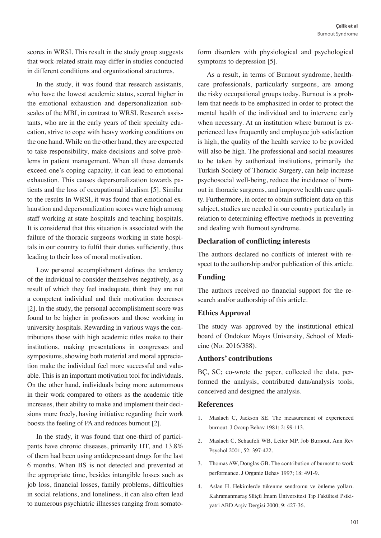scores in WRSI. This result in the study group suggests that work-related strain may differ in studies conducted in different conditions and organizational structures.

In the study, it was found that research assistants, who have the lowest academic status, scored higher in the emotional exhaustion and depersonalization subscales of the MBI, in contrast to WRSI. Research assistants, who are in the early years of their specialty education, strive to cope with heavy working conditions on the one hand. While on the other hand, they are expected to take responsibility, make decisions and solve problems in patient management. When all these demands exceed one's coping capacity, it can lead to emotional exhaustion. This causes depersonalization towards patients and the loss of occupational idealism [5]. Similar to the results In WRSI, it was found that emotional exhaustion and depersonalization scores were high among staff working at state hospitals and teaching hospitals. It is considered that this situation is associated with the failure of the thoracic surgeons working in state hospitals in our country to fulfil their duties sufficiently, thus leading to their loss of moral motivation.

Low personal accomplishment defines the tendency of the individual to consider themselves negatively, as a result of which they feel inadequate, think they are not a competent individual and their motivation decreases [2]. In the study, the personal accomplishment score was found to be higher in professors and those working in university hospitals. Rewarding in various ways the contributions those with high academic titles make to their institutions, making presentations in congresses and symposiums, showing both material and moral appreciation make the individual feel more successful and valuable. This is an important motivation tool for individuals. On the other hand, individuals being more autonomous in their work compared to others as the academic title increases, their ability to make and implement their decisions more freely, having initiative regarding their work boosts the feeling of PA and reduces burnout [2].

In the study, it was found that one-third of participants have chronic diseases, primarily HT, and 13.8% of them had been using antidepressant drugs for the last 6 months. When BS is not detected and prevented at the appropriate time, besides intangible losses such as job loss, financial losses, family problems, difficulties in social relations, and loneliness, it can also often lead to numerous psychiatric illnesses ranging from somato-

form disorders with physiological and psychological symptoms to depression [5].

As a result, in terms of Burnout syndrome, healthcare professionals, particularly surgeons, are among the risky occupational groups today. Burnout is a problem that needs to be emphasized in order to protect the mental health of the individual and to intervene early when necessary. At an institution where burnout is experienced less frequently and employee job satisfaction is high, the quality of the health service to be provided will also be high. The professional and social measures to be taken by authorized institutions, primarily the Turkish Society of Thoracic Surgery, can help increase psychosocial well-being, reduce the incidence of burnout in thoracic surgeons, and improve health care quality. Furthermore, in order to obtain sufficient data on this subject, studies are needed in our country particularly in relation to determining effective methods in preventing and dealing with Burnout syndrome.

#### **Declaration of conflicting interests**

The authors declared no conflicts of interest with respect to the authorship and/or publication of this article.

## **Funding**

The authors received no financial support for the research and/or authorship of this article.

# **Ethics Approval**

The study was approved by the institutional ethical board of Ondokuz Mayıs University, School of Medicine (No: 2016/388).

## **Authors' contributions**

BÇ, SC; co-wrote the paper, collected the data, performed the analysis, contributed data/analysis tools, conceived and designed the analysis.

## **References**

- 1. Maslach C, Jackson SE. The measurement of experienced burnout. J Occup Behav 1981; 2: 99-113.
- 2. Maslach C, Schaufeli WB, Leiter MP. Job Burnout. Ann Rev Psychol 2001; 52: 397-422.
- 3. Thomas AW, Douglas GB. The contribution of burnout to work performance. J Organiz Behav 1997; 18: 491-9.
- 4. Aslan H. Hekimlerde tükenme sendromu ve önleme yolları. Kahramanmaraş Sütçü İmam Üniversitesi Tıp Fakültesi Psikiyatri ABD Arşiv Dergisi 2000; 9: 427-36.